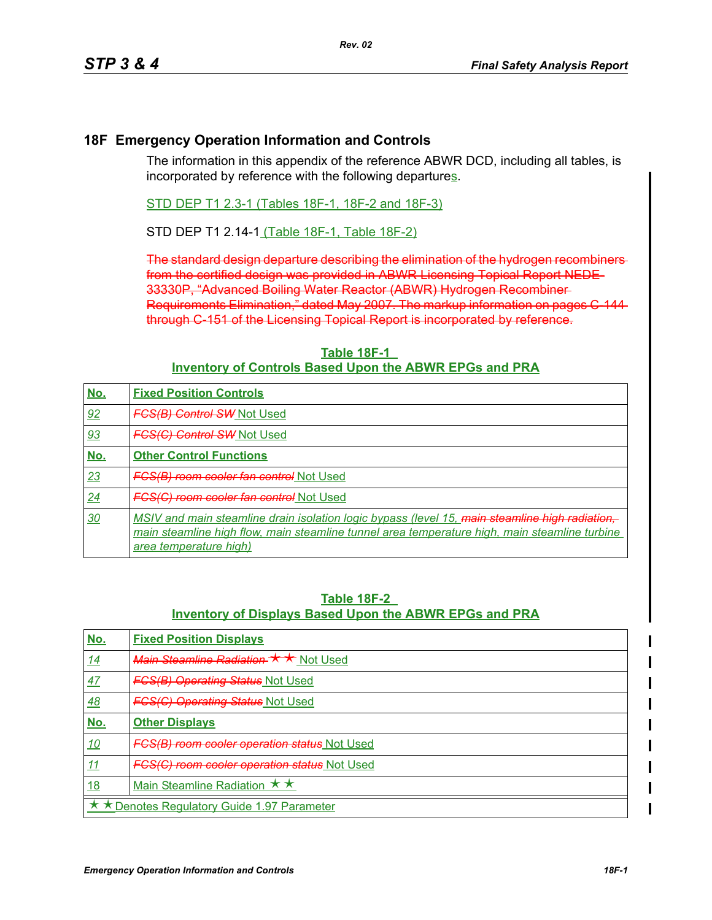## **18F Emergency Operation Information and Controls**

The information in this appendix of the reference ABWR DCD, including all tables, is incorporated by reference with the following departures.

STD DEP T1 2.3-1 (Tables 18F-1, 18F-2 and 18F-3)

STD DEP T1 2.14-1 (Table 18F-1, Table 18F-2)

The standard design departure describing the elimination of the hydrogen recombiners from the certified design was provided in ABWR Licensing Topical Report NEDE-33330P, "Advanced Boiling Water Reactor (ABWR) Hydrogen Recombiner Requirements Elimination," dated May 2007. The markup information on pages C-144 through C-151 of the Licensing Topical Report is incorporated by reference.

| No. | <b>Fixed Position Controls</b>                                                                                                                                                                                            |
|-----|---------------------------------------------------------------------------------------------------------------------------------------------------------------------------------------------------------------------------|
| 92  | <b>FGS(B) Control SW Not Used</b>                                                                                                                                                                                         |
| 93  | <b>FGS(C) Control SW Not Used</b>                                                                                                                                                                                         |
| No. | <b>Other Control Functions</b>                                                                                                                                                                                            |
| 23  | <b>FGS(B) room cooler fan control Not Used</b>                                                                                                                                                                            |
| 24  | <b>FGS(G) room cooler fan control Not Used</b>                                                                                                                                                                            |
| 30  | MSIV and main steamline drain isolation logic bypass (level 15, main steamline high radiation,<br>main steamline high flow, main steamline tunnel area temperature high, main steamline turbine<br>area temperature high) |

## **Table 18F-1 Inventory of Controls Based Upon the ABWR EPGs and PRA**

## **Table 18F-2 Inventory of Displays Based Upon the ABWR EPGs and PRA**

| No.                                         | <b>Fixed Position Displays</b>                      |
|---------------------------------------------|-----------------------------------------------------|
| <u>14</u>                                   | Main Steamline Radiation ★ ★ Not Used               |
| 47                                          | <b>FCS(B) Operating Status Not Used</b>             |
| 48                                          | <b>FCS(C) Operating Status</b> Not Used             |
| No.                                         | <b>Other Displays</b>                               |
| <u>10</u>                                   | <b>FCS(B) room cooler operation status Not Used</b> |
| 11                                          | <b>FCS(C) room cooler operation status Not Used</b> |
| <u>18</u>                                   | Main Steamline Radiation $\star \star$              |
| ★ ★ Denotes Regulatory Guide 1.97 Parameter |                                                     |